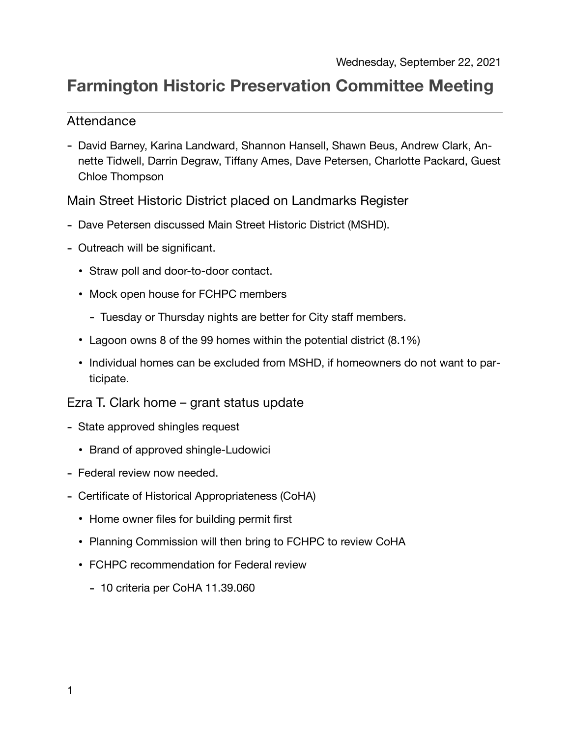## **Farmington Historic Preservation Committee Meeting**

## Attendance

- David Barney, Karina Landward, Shannon Hansell, Shawn Beus, Andrew Clark, Annette Tidwell, Darrin Degraw, Tiffany Ames, Dave Petersen, Charlotte Packard, Guest Chloe Thompson

Main Street Historic District placed on Landmarks Register

- Dave Petersen discussed Main Street Historic District (MSHD).
- Outreach will be significant.
	- Straw poll and door-to-door contact.
	- Mock open house for FCHPC members
		- Tuesday or Thursday nights are better for City staff members.
	- Lagoon owns 8 of the 99 homes within the potential district (8.1%)
	- Individual homes can be excluded from MSHD, if homeowners do not want to participate.

Ezra T. Clark home – grant status update

- State approved shingles request
	- Brand of approved shingle-Ludowici
- Federal review now needed.
- Certificate of Historical Appropriateness (CoHA)
	- Home owner files for building permit first
	- Planning Commission will then bring to FCHPC to review CoHA
	- FCHPC recommendation for Federal review
		- 10 criteria per CoHA 11.39.060